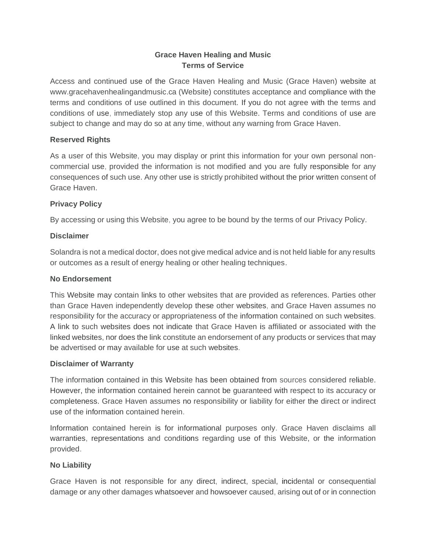# **Grace Haven Healing and Music Terms of Service**

Access and continued use of the Grace Haven Healing and Music (Grace Haven) website at www.gracehavenhealingandmusic.ca (Website) constitutes acceptance and compliance with the terms and conditions of use outlined in this document. If you do not agree with the terms and conditions of use, immediately stop any use of this Website. Terms and conditions of use are subject to change and may do so at any time, without any warning from Grace Haven.

## **Reserved Rights**

As a user of this Website, you may display or print this information for your own personal noncommercial use, provided the information is not modified and you are fully responsible for any consequences of such use. Any other use is strictly prohibited without the prior written consent of Grace Haven.

## **Privacy Policy**

By accessing or using this Website, you agree to be bound by the terms of our Privacy Policy.

### **Disclaimer**

Solandra is not a medical doctor, does not give medical advice and is not held liable for any results or outcomes as a result of energy healing or other healing techniques.

### **No Endorsement**

This Website may contain links to other websites that are provided as references. Parties other than Grace Haven independently develop these other websites, and Grace Haven assumes no responsibility for the accuracy or appropriateness of the information contained on such websites. A link to such websites does not indicate that Grace Haven is affiliated or associated with the linked websites, nor does the link constitute an endorsement of any products or services that may be advertised or may available for use at such websites.

### **Disclaimer of Warranty**

The information contained in this Website has been obtained from sources considered reliable. However, the information contained herein cannot be guaranteed with respect to its accuracy or completeness. Grace Haven assumes no responsibility or liability for either the direct or indirect use of the information contained herein.

Information contained herein is for informational purposes only. Grace Haven disclaims all warranties, representations and conditions regarding use of this Website, or the information provided.

# **No Liability**

Grace Haven is not responsible for any direct, indirect, special, incidental or consequential damage or any other damages whatsoever and howsoever caused, arising out of or in connection